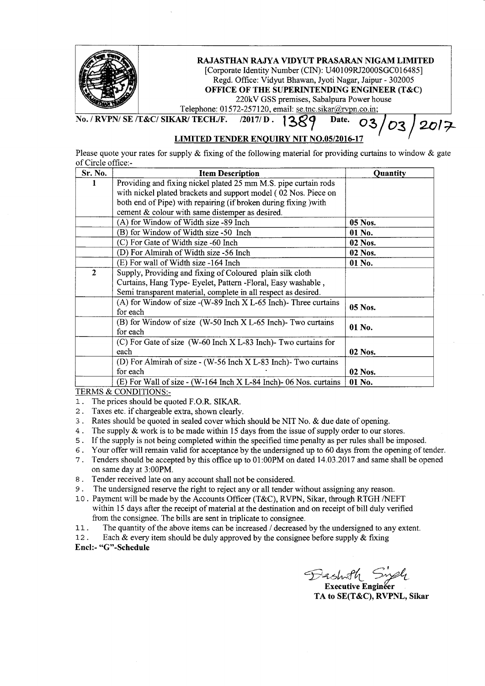| RAJASTHAN RAJYA VIDYUT PRASARAN NIGAM LIMITED<br>[Corporate Identity Number (CIN): U40109RJ2000SGC016485]<br>Regd. Office: Vidyut Bhawan, Jyoti Nagar, Jaipur - 302005<br>OFFICE OF THE SUPERINTENDING ENGINEER (T&C)<br>220kV GSS premises, Sabalpura Power house<br>Telephone: 01572-257120, email: se.tnc.sikar@rvpn.co.in; |
|--------------------------------------------------------------------------------------------------------------------------------------------------------------------------------------------------------------------------------------------------------------------------------------------------------------------------------|
| No. / RVPN/ SE /T&C/ SIKAR/ TECH./F. /2017/ D. 1209<br>Date. $\bigcap_{\alpha}$ /                                                                                                                                                                                                                                              |

## LIMITED TENDER ENOUIRY NIT NO.O5/2016-17

Please quote your rates for supply  $\&$  fixing of the following material for providing curtains to window  $\&$  gate of Circle office:-

| Sr. No.      | <b>Item Description</b>                                              | Quantity |  |
|--------------|----------------------------------------------------------------------|----------|--|
| 1            | Providing and fixing nickel plated 25 mm M.S. pipe curtain rods      |          |  |
|              | with nickel plated brackets and support model (02 Nos. Piece on      |          |  |
|              | both end of Pipe) with repairing (if broken during fixing ) with     |          |  |
|              | cement & colour with same distemper as desired.                      |          |  |
|              | (A) for Window of Width size -89 Inch                                | 05 Nos.  |  |
|              | (B) for Window of Width size -50 Inch                                | 01 No.   |  |
|              | (C) For Gate of Width size -60 Inch                                  | 02 Nos.  |  |
|              | (D) For Almirah of Width size -56 Inch                               | 02 Nos.  |  |
|              | (E) For wall of Width size -164 Inch                                 | 01 No.   |  |
| $\mathbf{2}$ | Supply, Providing and fixing of Coloured plain silk cloth            |          |  |
|              | Curtains, Hang Type- Eyelet, Pattern -Floral, Easy washable,         |          |  |
|              | Semi transparent material, complete in all respect as desired.       |          |  |
|              | (A) for Window of size - (W-89 Inch X L-65 Inch)- Three curtains     | 05 Nos.  |  |
|              | for each                                                             |          |  |
|              | (B) for Window of size (W-50 Inch X L-65 Inch)- Two curtains         | 01 No.   |  |
|              | for each                                                             |          |  |
|              | (C) For Gate of size (W-60 Inch X L-83 Inch)- Two curtains for       |          |  |
|              | each                                                                 | 02 Nos.  |  |
|              | (D) For Almirah of size $\sim$ (W-56 Inch X L-83 Inch). Two curtains |          |  |
|              | for each                                                             | 02 Nos.  |  |
|              | $(E)$ For Wall of size - (W-164 Inch X L-84 Inch)- 06 Nos. curtains  | 01 No.   |  |

TERMS & CONDITIONS:-

l- . The prices should be quoted F.O.R. SIKAR.

- 2. Taxes etc. if chargeable extra, shown clearly.
- <sup>3</sup>. Rates should be quoted in sealed cover which should be NIT No. & due date of opening.
- <sup>4</sup>. The supply & work is to be made within 15 days from the issue of supply order to our stores.
- <sup>s</sup>. If the supply is not being completed within the specified time penalty as per rules shall be imposed.
- 6. Your offer will remain valid for acceptance by the undersigned up to 60 days from the opening of tender.
- <sup>7</sup>. Tenders should be accepted by this office up to 01:00PM on dated 14.03.2017 and same shall be opened on same day at 3:00PM.
- 8. Tender received late on any account shall not be considered.
- 9. The undersigned reserve the right to reject any or all tender without assigning any reason.
- 10. Payment will be made by the Accounts Officer (T&C), RVPN, Sikar, through RTGH /NEFT within 15 days after the receipt of material at the destination and on receipt of bill duly verified from the consignee. The bills are sent in triplicate to consignee.
- <sup>11</sup>. The quantity of the above items can be increased / decreased by the undersigned to any extent.
- 12. Each  $\&$  every item should be duly approved by the consignee before supply  $\&$  fixing
- Encl:- "G"-Schedule

Dashoth Singh

Executive Enginéer TA to SE(T&C), RVPNL, Sikar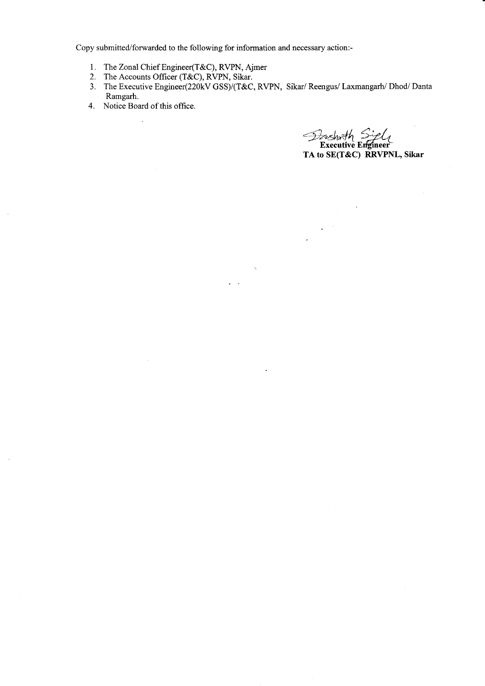Copy submitted/forwarded to the following for information and necessary action:-

- l. TheZonalChief Engineer(T&C), RVPN, Ajmer
- 2. The Accounts Officer (T&C), RVPN, Sikar.
- 3. The Executive Engineer(220kV GSS)/(T&C, RVPN, Sikar/ Reengus/ Laxmangarh/ Dhod/ Danta Ramgarh.

 $\overline{a}$ 

4. Notice Board of this office.  $\mathbb{R}^2$ 

Dashrth Siph TA to SE(T&C) RRVPNL, Sikar

 $\bar{\epsilon}$ 

 $\ddot{\phantom{a}}$